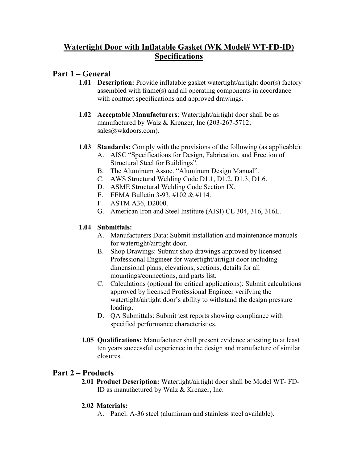# **Watertight Door with Inflatable Gasket (WK Model# WT-FD-ID) Specifications**

## **Part 1 – General**

- **1.01 Description:** Provide inflatable gasket watertight/airtight door(s) factory assembled with frame(s) and all operating components in accordance with contract specifications and approved drawings.
- **1.02 Acceptable Manufacturers**: Watertight/airtight door shall be as manufactured by Walz & Krenzer, Inc (203-267-5712; sales@wkdoors.com).
- **1.03 Standards:** Comply with the provisions of the following (as applicable):
	- A. AISC "Specifications for Design, Fabrication, and Erection of Structural Steel for Buildings".
	- B. The Aluminum Assoc. "Aluminum Design Manual".
	- C. AWS Structural Welding Code D1.1, D1.2, D1.3, D1.6.
	- D. ASME Structural Welding Code Section IX.
	- E. FEMA Bulletin 3-93, #102 & #114.
	- F. ASTM A36, D2000.
	- G. American Iron and Steel Institute (AISI) CL 304, 316, 316L.

### **1.04 Submittals:**

- A. Manufacturers Data: Submit installation and maintenance manuals for watertight/airtight door.
- B. Shop Drawings: Submit shop drawings approved by licensed Professional Engineer for watertight/airtight door including dimensional plans, elevations, sections, details for all mountings/connections, and parts list.
- C. Calculations (optional for critical applications): Submit calculations approved by licensed Professional Engineer verifying the watertight/airtight door's ability to withstand the design pressure loading.
- D. QA Submittals: Submit test reports showing compliance with specified performance characteristics.
- **1.05 Qualifications:** Manufacturer shall present evidence attesting to at least ten years successful experience in the design and manufacture of similar closures.

# **Part 2 – Products**

**2.01 Product Description:** Watertight/airtight door shall be Model WT- FD-ID as manufactured by Walz & Krenzer, Inc.

### **2.02 Materials:**

A. Panel: A-36 steel (aluminum and stainless steel available).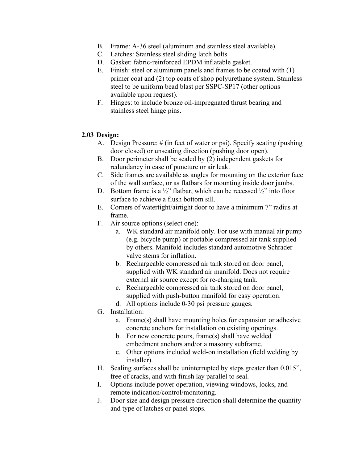- B. Frame: A-36 steel (aluminum and stainless steel available).
- C. Latches: Stainless steel sliding latch bolts
- D. Gasket: fabric-reinforced EPDM inflatable gasket.
- E. Finish: steel or aluminum panels and frames to be coated with (1) primer coat and (2) top coats of shop polyurethane system. Stainless steel to be uniform bead blast per SSPC-SP17 (other options available upon request).
- F. Hinges: to include bronze oil-impregnated thrust bearing and stainless steel hinge pins.

#### **2.03 Design:**

- A. Design Pressure: # (in feet of water or psi). Specify seating (pushing door closed) or unseating direction (pushing door open).
- B. Door perimeter shall be sealed by (2) independent gaskets for redundancy in case of puncture or air leak.
- C. Side frames are available as angles for mounting on the exterior face of the wall surface, or as flatbars for mounting inside door jambs.
- D. Bottom frame is a  $\frac{1}{2}$ " flatbar, which can be recessed  $\frac{1}{2}$ " into floor surface to achieve a flush bottom sill.
- E. Corners of watertight/airtight door to have a minimum 7" radius at frame.
- F. Air source options (select one):
	- a. WK standard air manifold only. For use with manual air pump (e.g. bicycle pump) or portable compressed air tank supplied by others. Manifold includes standard automotive Schrader valve stems for inflation.
	- b. Rechargeable compressed air tank stored on door panel, supplied with WK standard air manifold. Does not require external air source except for re-charging tank.
	- c. Rechargeable compressed air tank stored on door panel, supplied with push-button manifold for easy operation.
	- d. All options include 0-30 psi pressure gauges.
- G. Installation:
	- a. Frame(s) shall have mounting holes for expansion or adhesive concrete anchors for installation on existing openings.
	- b. For new concrete pours, frame(s) shall have welded embedment anchors and/or a masonry subframe.
	- c. Other options included weld-on installation (field welding by installer).
- H. Sealing surfaces shall be uninterrupted by steps greater than 0.015", free of cracks, and with finish lay parallel to seal.
- I. Options include power operation, viewing windows, locks, and remote indication/control/monitoring.
- J. Door size and design pressure direction shall determine the quantity and type of latches or panel stops.